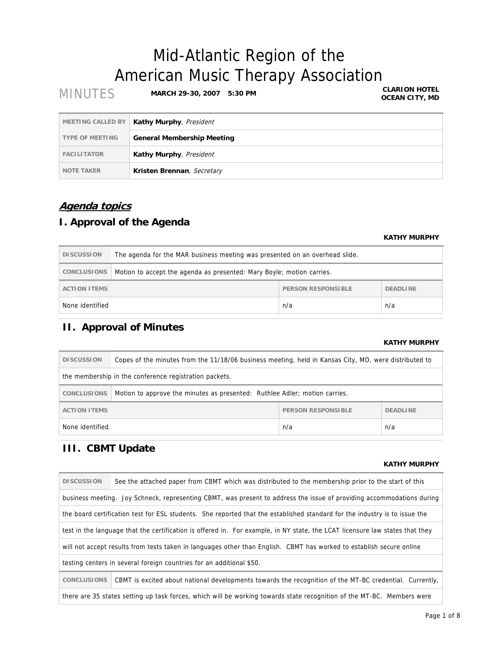# Mid-Atlantic Region of the American Music Therapy Association

| <b>MINUTES</b>           | <b>MARCH 29-30, 2007</b><br>5:30 PM | <b>CLARION HOTEL</b><br><b>OCEAN CITY, MD</b> |
|--------------------------|-------------------------------------|-----------------------------------------------|
| <b>MEETING CALLED BY</b> | Kathy Murphy, President             |                                               |
| <b>TYPE OF MEETING</b>   | <b>General Membership Meeting</b>   |                                               |
| <b>FACILITATOR</b>       | Kathy Murphy, President             |                                               |
| <b>NOTE TAKER</b>        | Kristen Brennan, Secretary          |                                               |

## **Agenda topics**

## **I. Approval of the Agenda**

### **KATHY MURPHY**

| <b>DISCUSSION</b>             | The agenda for the MAR business meeting was presented on an overhead slide. |  |  |
|-------------------------------|-----------------------------------------------------------------------------|--|--|
| <b>CONCLUSIONS</b>            | Motion to accept the agenda as presented: Mary Boyle; motion carries.       |  |  |
| <b>ACTION ITEMS</b>           | PERSON RESPONSIBLE<br><b>DEADLINE</b>                                       |  |  |
| None identified<br>n/a<br>n/a |                                                                             |  |  |

## **II. Approval of Minutes**

### **KATHY MURPHY**

| <b>DISCUSSION</b>                                                                                | Copes of the minutes from the 11/18/06 business meeting, held in Kansas City, MO, were distributed to |  |  |
|--------------------------------------------------------------------------------------------------|-------------------------------------------------------------------------------------------------------|--|--|
| the membership in the conference registration packets.                                           |                                                                                                       |  |  |
| Motion to approve the minutes as presented: Ruthlee Adler; motion carries.<br><b>CONCLUSIONS</b> |                                                                                                       |  |  |
| <b>PERSON RESPONSIBLE</b><br><b>DEADLINE</b><br><b>ACTION ITEMS</b>                              |                                                                                                       |  |  |
| None identified.<br>n/a<br>n/a                                                                   |                                                                                                       |  |  |

## **III. CBMT Update**

### **KATHY MURPHY**

| <b>DISCUSSION</b>                                                                                                            | See the attached paper from CBMT which was distributed to the membership prior to the start of this                        |  |  |
|------------------------------------------------------------------------------------------------------------------------------|----------------------------------------------------------------------------------------------------------------------------|--|--|
|                                                                                                                              | business meeting. Joy Schneck, representing CBMT, was present to address the issue of providing accommodations during      |  |  |
|                                                                                                                              | the board certification test for ESL students. She reported that the established standard for the industry is to issue the |  |  |
| test in the language that the certification is offered in. For example, in NY state, the LCAT licensure law states that they |                                                                                                                            |  |  |
| will not accept results from tests taken in languages other than English. CBMT has worked to establish secure online         |                                                                                                                            |  |  |
|                                                                                                                              | testing centers in several foreign countries for an additional \$50.                                                       |  |  |
| <b>CONCLUSIONS</b>                                                                                                           | CBMT is excited about national developments towards the recognition of the MT-BC credential. Currently,                    |  |  |
| there are 35 states setting up task forces, which will be working towards state recognition of the MT-BC. Members were       |                                                                                                                            |  |  |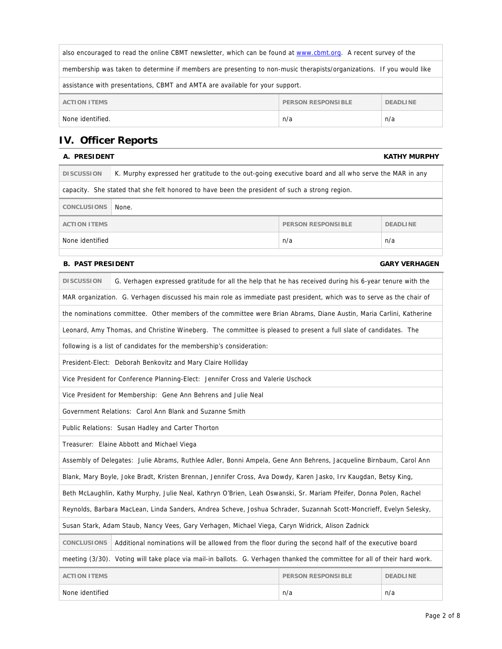| also encouraged to read the online CBMT newsletter, which can be found at www.cbmt.org. A recent survey of the       |  |  |  |
|----------------------------------------------------------------------------------------------------------------------|--|--|--|
| membership was taken to determine if members are presenting to non-music therapists/organizations. If you would like |  |  |  |
| assistance with presentations, CBMT and AMTA are available for your support.                                         |  |  |  |
| <b>ACTION ITEMS</b><br><b>PERSON RESPONSIBLE</b><br><b>DEADLINE</b>                                                  |  |  |  |
| None identified.<br>n/a<br>n/a                                                                                       |  |  |  |

## **IV. Officer Reports**

## **A. PRESIDENT KATHY MURPHY**

| <b>DISCUSSION</b>                                                                              | K. Murphy expressed her gratitude to the out-going executive board and all who serve the MAR in any |                    |                 |
|------------------------------------------------------------------------------------------------|-----------------------------------------------------------------------------------------------------|--------------------|-----------------|
| capacity. She stated that she felt honored to have been the president of such a strong region. |                                                                                                     |                    |                 |
| <b>CONCLUSIONS</b>                                                                             | None.                                                                                               |                    |                 |
| <b>ACTION ITEMS</b>                                                                            |                                                                                                     | PERSON RESPONSIBLE | <b>DEADLINE</b> |
| None identified                                                                                | n/a<br>n/a                                                                                          |                    |                 |
|                                                                                                |                                                                                                     |                    |                 |

### **B. PAST PRESIDENT GARY VERHAGEN**

| <b>DISCUSSION</b>                                                                                                         | G. Verhagen expressed gratitude for all the help that he has received during his 6-year tenure with the               |  |  |  |
|---------------------------------------------------------------------------------------------------------------------------|-----------------------------------------------------------------------------------------------------------------------|--|--|--|
|                                                                                                                           | MAR organization. G. Verhagen discussed his main role as immediate past president, which was to serve as the chair of |  |  |  |
|                                                                                                                           | the nominations committee. Other members of the committee were Brian Abrams, Diane Austin, Maria Carlini, Katherine   |  |  |  |
|                                                                                                                           | Leonard, Amy Thomas, and Christine Wineberg. The committee is pleased to present a full slate of candidates. The      |  |  |  |
|                                                                                                                           | following is a list of candidates for the membership's consideration:                                                 |  |  |  |
|                                                                                                                           | President-Elect: Deborah Benkovitz and Mary Claire Holliday                                                           |  |  |  |
|                                                                                                                           | Vice President for Conference Planning-Elect: Jennifer Cross and Valerie Uschock                                      |  |  |  |
|                                                                                                                           | Vice President for Membership: Gene Ann Behrens and Julie Neal                                                        |  |  |  |
|                                                                                                                           | Government Relations: Carol Ann Blank and Suzanne Smith                                                               |  |  |  |
|                                                                                                                           | Public Relations: Susan Hadley and Carter Thorton                                                                     |  |  |  |
|                                                                                                                           | Treasurer: Elaine Abbott and Michael Viega                                                                            |  |  |  |
|                                                                                                                           | Assembly of Delegates: Julie Abrams, Ruthlee Adler, Bonni Ampela, Gene Ann Behrens, Jacqueline Birnbaum, Carol Ann    |  |  |  |
|                                                                                                                           | Blank, Mary Boyle, Joke Bradt, Kristen Brennan, Jennifer Cross, Ava Dowdy, Karen Jasko, Irv Kaugdan, Betsy King,      |  |  |  |
|                                                                                                                           | Beth McLaughlin, Kathy Murphy, Julie Neal, Kathryn O'Brien, Leah Oswanski, Sr. Mariam Pfeifer, Donna Polen, Rachel    |  |  |  |
|                                                                                                                           | Reynolds, Barbara MacLean, Linda Sanders, Andrea Scheve, Joshua Schrader, Suzannah Scott-Moncrieff, Evelyn Selesky,   |  |  |  |
| Susan Stark, Adam Staub, Nancy Vees, Gary Verhagen, Michael Viega, Caryn Widrick, Alison Zadnick                          |                                                                                                                       |  |  |  |
| <b>CONCLUSIONS</b>                                                                                                        | Additional nominations will be allowed from the floor during the second half of the executive board                   |  |  |  |
| meeting (3/30). Voting will take place via mail-in ballots. G. Verhagen thanked the committee for all of their hard work. |                                                                                                                       |  |  |  |
| <b>ACTION ITEMS</b><br><b>PERSON RESPONSIBLE</b><br><b>DEADLINE</b>                                                       |                                                                                                                       |  |  |  |
| None identified<br>n/a<br>n/a                                                                                             |                                                                                                                       |  |  |  |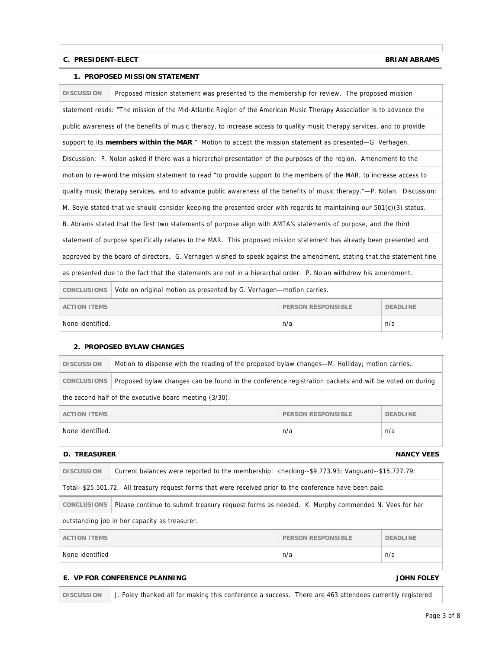### **C. PRESIDENT-ELECT BRIAN ABRAMS**

### **1. PROPOSED MISSION STATEMENT**

| <b>DISCUSSION</b>                                                   | Proposed mission statement was presented to the membership for review. The proposed mission                              |  |  |
|---------------------------------------------------------------------|--------------------------------------------------------------------------------------------------------------------------|--|--|
|                                                                     | statement reads: "The mission of the Mid-Atlantic Region of the American Music Therapy Association is to advance the     |  |  |
|                                                                     | public awareness of the benefits of music therapy, to increase access to quality music therapy services, and to provide  |  |  |
|                                                                     | support to its members within the MAR." Motion to accept the mission statement as presented—G. Verhagen.                 |  |  |
|                                                                     | Discussion: P. Nolan asked if there was a hierarchal presentation of the purposes of the region. Amendment to the        |  |  |
|                                                                     | motion to re-word the mission statement to read "to provide support to the members of the MAR, to increase access to     |  |  |
|                                                                     | quality music therapy services, and to advance public awareness of the benefits of music therapy."—P. Nolan. Discussion: |  |  |
|                                                                     | M. Boyle stated that we should consider keeping the presented order with regards to maintaining our 501(c)(3) status.    |  |  |
|                                                                     | B. Abrams stated that the first two statements of purpose align with AMTA's statements of purpose, and the third         |  |  |
|                                                                     | statement of purpose specifically relates to the MAR. This proposed mission statement has already been presented and     |  |  |
|                                                                     | approved by the board of directors. G. Verhagen wished to speak against the amendment, stating that the statement fine   |  |  |
|                                                                     | as presented due to the fact that the statements are not in a hierarchal order. P. Nolan withdrew his amendment.         |  |  |
| <b>CONCLUSIONS</b>                                                  | Vote on original motion as presented by G. Verhagen-motion carries.                                                      |  |  |
| <b>ACTION ITEMS</b><br><b>PERSON RESPONSIBLE</b><br><b>DEADLINE</b> |                                                                                                                          |  |  |
| None identified.<br>n/a<br>n/a                                      |                                                                                                                          |  |  |

### **2. PROPOSED BYLAW CHANGES**

| <b>DISCUSSION</b>                                                   | Motion to dispense with the reading of the proposed bylaw changes—M. Holliday; motion carries.         |  |  |
|---------------------------------------------------------------------|--------------------------------------------------------------------------------------------------------|--|--|
| <b>CONCLUSIONS</b>                                                  | Proposed bylaw changes can be found in the conference registration packets and will be voted on during |  |  |
| the second half of the executive board meeting (3/30).              |                                                                                                        |  |  |
| <b>ACTION ITEMS</b><br><b>PERSON RESPONSIBLE</b><br><b>DEADLINE</b> |                                                                                                        |  |  |
| None identified.<br>n/a<br>n/a                                      |                                                                                                        |  |  |

### **D. TREASURER NANCY VEES**

| <b>DISCUSSION</b>                                                                                                     | Current balances were reported to the membership: checking--\$9,773.93; Vanguard--\$15,727.79; |  |  |
|-----------------------------------------------------------------------------------------------------------------------|------------------------------------------------------------------------------------------------|--|--|
| Total--\$25,501.72. All treasury request forms that were received prior to the conference have been paid.             |                                                                                                |  |  |
| <b>CONCLUSIONS</b><br>Please continue to submit treasury request forms as needed. K. Murphy commended N. Vees for her |                                                                                                |  |  |
|                                                                                                                       | outstanding job in her capacity as treasurer.                                                  |  |  |
| <b>PERSON RESPONSIBLE</b><br><b>DEADLINE</b><br><b>ACTION ITEMS</b>                                                   |                                                                                                |  |  |
| None identified<br>n/a<br>n/a                                                                                         |                                                                                                |  |  |
|                                                                                                                       |                                                                                                |  |  |

### **E. VP FOR CONFERENCE PLANNING JOHN FOLEY**

**DISCUSSION** J. Foley thanked all for making this conference a success. There are 463 attendees currently registered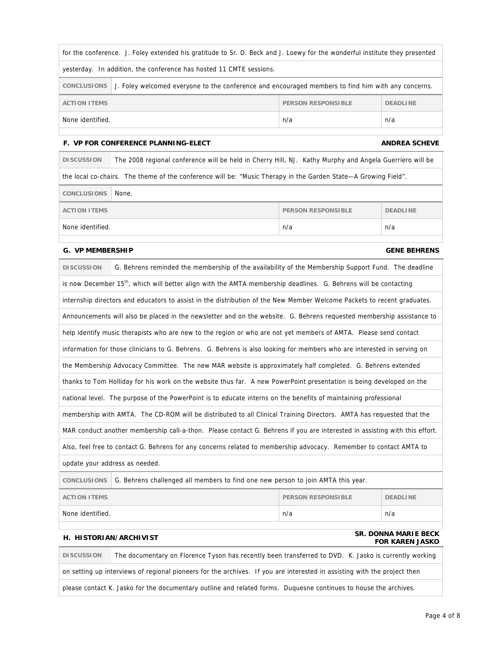| for the conference. J. Foley extended his gratitude to Sr. D. Beck and J. Loewy for the wonderful institute they presented |  |  |  |
|----------------------------------------------------------------------------------------------------------------------------|--|--|--|
| yesterday. In addition, the conference has hosted 11 CMTE sessions.                                                        |  |  |  |
| J. Foley welcomed everyone to the conference and encouraged members to find him with any concerns.<br>CONCLUSIONS          |  |  |  |
| PERSON RESPONSIBLE<br><b>ACTION ITEMS</b><br><b>DEADLINE</b>                                                               |  |  |  |
| None identified.<br>n/a<br>n/a                                                                                             |  |  |  |

### **F. VP FOR CONFERENCE PLANNING-ELECT AND REAST AND REAST AND REAST AND REAST AND REAST AND REAST AND REAST AND REAST AND REAST AND REAST AND REAST AND REAST AND REAST AND REAST AND REAST AND REAST AND REAST AND REAST AND R**

| <b>DISCUSSION</b>                                                                                              | The 2008 regional conference will be held in Cherry Hill, NJ. Kathy Murphy and Angela Guerriero will be |                           |                 |
|----------------------------------------------------------------------------------------------------------------|---------------------------------------------------------------------------------------------------------|---------------------------|-----------------|
| the local co-chairs. The theme of the conference will be: "Music Therapy in the Garden State—A Growing Field". |                                                                                                         |                           |                 |
| <b>CONCLUSIONS</b>                                                                                             | None.                                                                                                   |                           |                 |
| <b>ACTION ITEMS</b>                                                                                            |                                                                                                         | <b>PERSON RESPONSIBLE</b> | <b>DEADLINE</b> |
| n/a<br>n/a<br>None identified.                                                                                 |                                                                                                         |                           |                 |

### **G. VP MEMBERSHIP GENE BEHRENS**

| <b>DISCUSSION</b>                                                                                      | G. Behrens reminded the membership of the availability of the Membership Support Fund. The deadline                          |  |  |  |
|--------------------------------------------------------------------------------------------------------|------------------------------------------------------------------------------------------------------------------------------|--|--|--|
|                                                                                                        | is now December 15 <sup>th</sup> , which will better align with the AMTA membership deadlines. G. Behrens will be contacting |  |  |  |
|                                                                                                        | internship directors and educators to assist in the distribution of the New Member Welcome Packets to recent graduates.      |  |  |  |
|                                                                                                        | Announcements will also be placed in the newsletter and on the website. G. Behrens requested membership assistance to        |  |  |  |
|                                                                                                        | help identify music therapists who are new to the region or who are not yet members of AMTA. Please send contact             |  |  |  |
|                                                                                                        | information for those clinicians to G. Behrens. G. Behrens is also looking for members who are interested in serving on      |  |  |  |
|                                                                                                        | the Membership Advocacy Committee. The new MAR website is approximately half completed. G. Behrens extended                  |  |  |  |
|                                                                                                        | thanks to Tom Holliday for his work on the website thus far. A new PowerPoint presentation is being developed on the         |  |  |  |
|                                                                                                        | national level. The purpose of the PowerPoint is to educate interns on the benefits of maintaining professional              |  |  |  |
|                                                                                                        | membership with AMTA. The CD-ROM will be distributed to all Clinical Training Directors. AMTA has requested that the         |  |  |  |
|                                                                                                        | MAR conduct another membership call-a-thon. Please contact G. Behrens if you are interested in assisting with this effort.   |  |  |  |
|                                                                                                        | Also, feel free to contact G. Behrens for any concerns related to membership advocacy. Remember to contact AMTA to           |  |  |  |
| update your address as needed.                                                                         |                                                                                                                              |  |  |  |
| <b>CONCLUSIONS</b><br>G. Behrens challenged all members to find one new person to join AMTA this year. |                                                                                                                              |  |  |  |
| <b>ACTION ITEMS</b><br><b>PERSON RESPONSIBLE</b><br><b>DEADLINE</b>                                    |                                                                                                                              |  |  |  |
| None identified.<br>n/a<br>n/a                                                                         |                                                                                                                              |  |  |  |
|                                                                                                        |                                                                                                                              |  |  |  |

### **H. HISTORIAN/ARCHIVIST SR. DONNA MARIE BECK FOR KAREN JASKO**

**DISCUSSION** The documentary on Florence Tyson has recently been transferred to DVD. K. Jasko is currently working on setting up interviews of regional pioneers for the archives. If you are interested in assisting with the project then

please contact K. Jasko for the documentary outline and related forms. Duquesne continues to house the archives.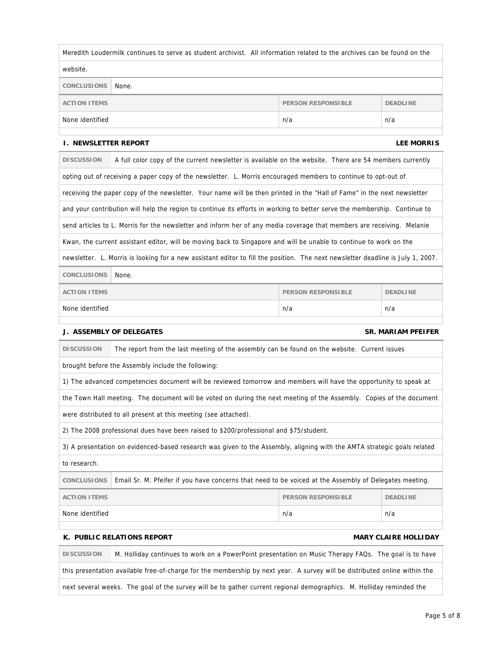| Meredith Loudermilk continues to serve as student archivist. All information related to the archives can be found on the |       |  |  |  |
|--------------------------------------------------------------------------------------------------------------------------|-------|--|--|--|
| website.                                                                                                                 |       |  |  |  |
| <b>CONCLUSIONS</b>                                                                                                       | None. |  |  |  |
| <b>ACTION ITEMS</b><br>PERSON RESPONSIBLE<br><b>DEADLINE</b>                                                             |       |  |  |  |
| None identified<br>n/a<br>n/a                                                                                            |       |  |  |  |
|                                                                                                                          |       |  |  |  |

### **I. NEWSLETTER REPORT LEE MORRIS**

| <b>DISCUSSION</b>                                                                                                               | A full color copy of the current newsletter is available on the website. There are 54 members currently                   |  |  |  |
|---------------------------------------------------------------------------------------------------------------------------------|---------------------------------------------------------------------------------------------------------------------------|--|--|--|
|                                                                                                                                 | opting out of receiving a paper copy of the newsletter. L. Morris encouraged members to continue to opt-out of            |  |  |  |
|                                                                                                                                 | receiving the paper copy of the newsletter. Your name will be then printed in the "Hall of Fame" in the next newsletter   |  |  |  |
|                                                                                                                                 | and your contribution will help the region to continue its efforts in working to better serve the membership. Continue to |  |  |  |
|                                                                                                                                 | send articles to L. Morris for the newsletter and inform her of any media coverage that members are receiving. Melanie    |  |  |  |
|                                                                                                                                 | Kwan, the current assistant editor, will be moving back to Singapore and will be unable to continue to work on the        |  |  |  |
| newsletter. L. Morris is looking for a new assistant editor to fill the position. The next newsletter deadline is July 1, 2007. |                                                                                                                           |  |  |  |
| <b>CONCLUSIONS</b><br>None.                                                                                                     |                                                                                                                           |  |  |  |
| <b>ACTION ITEMS</b><br><b>PERSON RESPONSIBLE</b><br><b>DEADLINE</b>                                                             |                                                                                                                           |  |  |  |
| None identified<br>n/a<br>n/a                                                                                                   |                                                                                                                           |  |  |  |

### **J. ASSEMBLY OF DELEGATES SR. MARIAM PFEIFER**

| <b>DISCUSSION</b> | The report from the last meeting of the assembly can be found on the website. Current issues |  |
|-------------------|----------------------------------------------------------------------------------------------|--|
|                   |                                                                                              |  |

brought before the Assembly include the following:

1) The advanced competencies document will be reviewed tomorrow and members will have the opportunity to speak at

the Town Hall meeting. The document will be voted on during the next meeting of the Assembly. Copies of the document

were distributed to all present at this meeting (see attached).

2) The 2008 professional dues have been raised to \$200/professional and \$75/student.

3) A presentation on evidenced-based research was given to the Assembly, aligning with the AMTA strategic goals related

to research.

**CONCLUSIONS** Email Sr. M. Pfeifer if you have concerns that need to be voiced at the Assembly of Delegates meeting.

| <b>ACTION ITEMS</b> | PERSON RESPONSIBLE | DEADLINE |
|---------------------|--------------------|----------|
| None identified     | n/a                | n/a      |
|                     |                    |          |

### **K. PUBLIC RELATIONS REPORT AND REALLY REPORT CONSUMING A REALLY REALLY REALLY REALLY REALLY REALLY REALLY REALLY REALLY REALLY REALLY REALLY REALLY REALLY REALLY REALLY REALLY REALLY REALLY REALLY REALLY REALLY REALLY REA**

**DISCUSSION** M. Holliday continues to work on a PowerPoint presentation on Music Therapy FAQs. The goal is to have this presentation available free-of-charge for the membership by next year. A survey will be distributed online within the next several weeks. The goal of the survey will be to gather current regional demographics. M. Holliday reminded the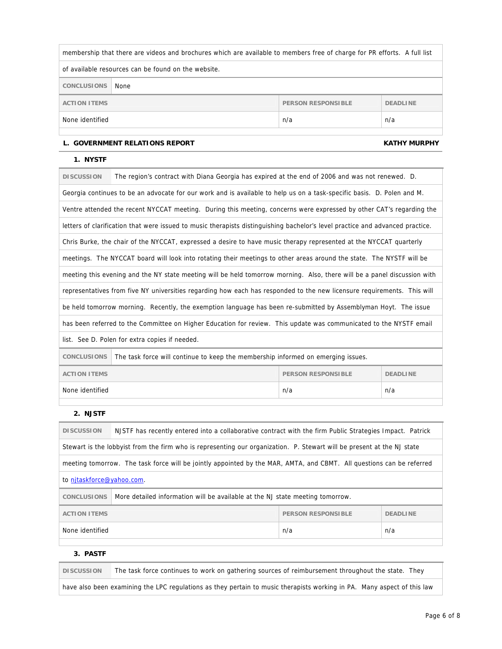| membership that there are videos and brochures which are available to members free of charge for PR efforts. A full list |  |  |  |
|--------------------------------------------------------------------------------------------------------------------------|--|--|--|
| of available resources can be found on the website.                                                                      |  |  |  |
| <b>CONCLUSIONS</b><br>None                                                                                               |  |  |  |
| <b>ACTION ITEMS</b><br><b>PERSON RESPONSIBLE</b><br><b>DEADLINE</b>                                                      |  |  |  |
| None identified<br>n/a<br>n/a                                                                                            |  |  |  |

### L. GOVERNMENT RELATIONS REPORT **KATHY MURPHY**

### **1. NYSTF**

| <b>DISCUSSION</b>                                                                                      | The region's contract with Diana Georgia has expired at the end of 2006 and was not renewed. D.                               |  |  |  |
|--------------------------------------------------------------------------------------------------------|-------------------------------------------------------------------------------------------------------------------------------|--|--|--|
|                                                                                                        | Georgia continues to be an advocate for our work and is available to help us on a task-specific basis. D. Polen and M.        |  |  |  |
|                                                                                                        | Ventre attended the recent NYCCAT meeting. During this meeting, concerns were expressed by other CAT's regarding the          |  |  |  |
|                                                                                                        | letters of clarification that were issued to music therapists distinguishing bachelor's level practice and advanced practice. |  |  |  |
|                                                                                                        | Chris Burke, the chair of the NYCCAT, expressed a desire to have music therapy represented at the NYCCAT quarterly            |  |  |  |
|                                                                                                        | meetings. The NYCCAT board will look into rotating their meetings to other areas around the state. The NYSTF will be          |  |  |  |
|                                                                                                        | meeting this evening and the NY state meeting will be held tomorrow morning. Also, there will be a panel discussion with      |  |  |  |
|                                                                                                        | representatives from five NY universities regarding how each has responded to the new licensure requirements. This will       |  |  |  |
|                                                                                                        | be held tomorrow morning. Recently, the exemption language has been re-submitted by Assemblyman Hoyt. The issue               |  |  |  |
|                                                                                                        | has been referred to the Committee on Higher Education for review. This update was communicated to the NYSTF email            |  |  |  |
| list. See D. Polen for extra copies if needed.                                                         |                                                                                                                               |  |  |  |
| <b>CONCLUSIONS</b><br>The task force will continue to keep the membership informed on emerging issues. |                                                                                                                               |  |  |  |
| <b>ACTION ITEMS</b><br><b>PERSON RESPONSIBLE</b><br><b>DEADLINE</b>                                    |                                                                                                                               |  |  |  |
| None identified<br>n/a<br>n/a                                                                          |                                                                                                                               |  |  |  |

### **2. NJSTF**

| <b>DISCUSSION</b>                                                                                                    | NJSTF has recently entered into a collaborative contract with the firm Public Strategies Impact. Patrick               |  |  |  |
|----------------------------------------------------------------------------------------------------------------------|------------------------------------------------------------------------------------------------------------------------|--|--|--|
|                                                                                                                      | Stewart is the lobbyist from the firm who is representing our organization. P. Stewart will be present at the NJ state |  |  |  |
| meeting tomorrow. The task force will be jointly appointed by the MAR, AMTA, and CBMT. All questions can be referred |                                                                                                                        |  |  |  |
| to nitaskforce@yahoo.com.                                                                                            |                                                                                                                        |  |  |  |
| <b>CONCLUSIONS</b>                                                                                                   | More detailed information will be available at the NJ state meeting tomorrow.                                          |  |  |  |
| <b>ACTION ITEMS</b><br><b>PERSON RESPONSIBLE</b><br><b>DEADLINE</b>                                                  |                                                                                                                        |  |  |  |
| None identified<br>n/a<br>n/a                                                                                        |                                                                                                                        |  |  |  |
|                                                                                                                      |                                                                                                                        |  |  |  |

### **3. PASTF**

**DISCUSSION** The task force continues to work on gathering sources of reimbursement throughout the state. They

have also been examining the LPC regulations as they pertain to music therapists working in PA. Many aspect of this law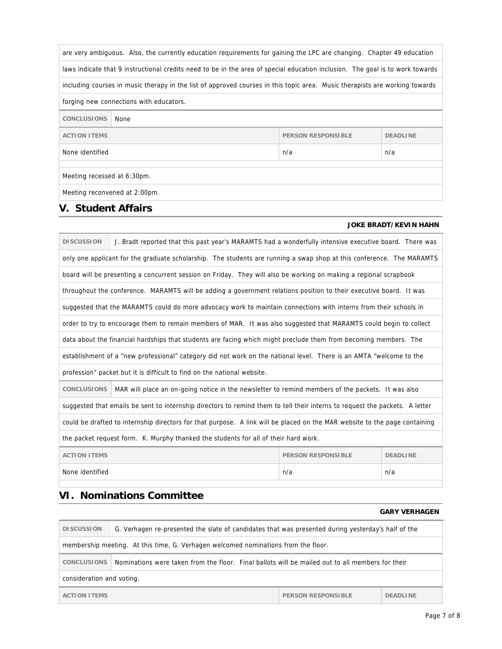| are very ambiguous. Also, the currently education requirements for gaining the LPC are changing. Chapter 49 education |                                                                                                                               |                           |                 |  |
|-----------------------------------------------------------------------------------------------------------------------|-------------------------------------------------------------------------------------------------------------------------------|---------------------------|-----------------|--|
|                                                                                                                       | laws indicate that 9 instructional credits need to be in the area of special education inclusion. The goal is to work towards |                           |                 |  |
|                                                                                                                       | including courses in music therapy in the list of approved courses in this topic area. Music therapists are working towards   |                           |                 |  |
|                                                                                                                       | forging new connections with educators.                                                                                       |                           |                 |  |
| <b>CONCLUSIONS</b>                                                                                                    | None                                                                                                                          |                           |                 |  |
| <b>ACTION ITEMS</b>                                                                                                   |                                                                                                                               | <b>PERSON RESPONSIBLE</b> | <b>DEADLINE</b> |  |
| None identified                                                                                                       | n/a<br>n/a                                                                                                                    |                           |                 |  |
| Meeting recessed at 6:30pm.<br>Meeting reconvened at 2:00pm.                                                          |                                                                                                                               |                           |                 |  |
| $\blacksquare$                                                                                                        |                                                                                                                               |                           |                 |  |

## **V. Student Affairs**

### **JOKE BRADT/KEVIN HAHN**

|                                                                                                                            | <b>DISCUSSION</b><br>J. Bradt reported that this past year's MARAMTS had a wonderfully intensive executive board. There was<br>only one applicant for the graduate scholarship. The students are running a swap shop at this conference. The MARAMTS<br>board will be presenting a concurrent session on Friday. They will also be working on making a regional scrapbook<br>throughout the conference. MARAMTS will be adding a government relations position to their executive board. It was<br>suggested that the MARAMTS could do more advocacy work to maintain connections with interns from their schools in<br>order to try to encourage them to remain members of MAR. It was also suggested that MARAMTS could begin to collect<br>data about the financial hardships that students are facing which might preclude them from becoming members. The<br>establishment of a "new professional" category did not work on the national level. There is an AMTA "welcome to the<br>profession" packet but it is difficult to find on the national website. |                                                                                                                             |  |  |  |  |
|----------------------------------------------------------------------------------------------------------------------------|------------------------------------------------------------------------------------------------------------------------------------------------------------------------------------------------------------------------------------------------------------------------------------------------------------------------------------------------------------------------------------------------------------------------------------------------------------------------------------------------------------------------------------------------------------------------------------------------------------------------------------------------------------------------------------------------------------------------------------------------------------------------------------------------------------------------------------------------------------------------------------------------------------------------------------------------------------------------------------------------------------------------------------------------------------------|-----------------------------------------------------------------------------------------------------------------------------|--|--|--|--|
|                                                                                                                            |                                                                                                                                                                                                                                                                                                                                                                                                                                                                                                                                                                                                                                                                                                                                                                                                                                                                                                                                                                                                                                                                  |                                                                                                                             |  |  |  |  |
|                                                                                                                            |                                                                                                                                                                                                                                                                                                                                                                                                                                                                                                                                                                                                                                                                                                                                                                                                                                                                                                                                                                                                                                                                  |                                                                                                                             |  |  |  |  |
|                                                                                                                            |                                                                                                                                                                                                                                                                                                                                                                                                                                                                                                                                                                                                                                                                                                                                                                                                                                                                                                                                                                                                                                                                  |                                                                                                                             |  |  |  |  |
|                                                                                                                            |                                                                                                                                                                                                                                                                                                                                                                                                                                                                                                                                                                                                                                                                                                                                                                                                                                                                                                                                                                                                                                                                  |                                                                                                                             |  |  |  |  |
|                                                                                                                            |                                                                                                                                                                                                                                                                                                                                                                                                                                                                                                                                                                                                                                                                                                                                                                                                                                                                                                                                                                                                                                                                  |                                                                                                                             |  |  |  |  |
|                                                                                                                            |                                                                                                                                                                                                                                                                                                                                                                                                                                                                                                                                                                                                                                                                                                                                                                                                                                                                                                                                                                                                                                                                  |                                                                                                                             |  |  |  |  |
|                                                                                                                            |                                                                                                                                                                                                                                                                                                                                                                                                                                                                                                                                                                                                                                                                                                                                                                                                                                                                                                                                                                                                                                                                  |                                                                                                                             |  |  |  |  |
|                                                                                                                            |                                                                                                                                                                                                                                                                                                                                                                                                                                                                                                                                                                                                                                                                                                                                                                                                                                                                                                                                                                                                                                                                  |                                                                                                                             |  |  |  |  |
|                                                                                                                            |                                                                                                                                                                                                                                                                                                                                                                                                                                                                                                                                                                                                                                                                                                                                                                                                                                                                                                                                                                                                                                                                  |                                                                                                                             |  |  |  |  |
|                                                                                                                            | <b>CONCLUSIONS</b>                                                                                                                                                                                                                                                                                                                                                                                                                                                                                                                                                                                                                                                                                                                                                                                                                                                                                                                                                                                                                                               | MAR will place an on-going notice in the newsletter to remind members of the packets. It was also                           |  |  |  |  |
|                                                                                                                            |                                                                                                                                                                                                                                                                                                                                                                                                                                                                                                                                                                                                                                                                                                                                                                                                                                                                                                                                                                                                                                                                  | suggested that emails be sent to internship directors to remind them to tell their interns to request the packets. A letter |  |  |  |  |
| could be drafted to internship directors for that purpose. A link will be placed on the MAR website to the page containing |                                                                                                                                                                                                                                                                                                                                                                                                                                                                                                                                                                                                                                                                                                                                                                                                                                                                                                                                                                                                                                                                  |                                                                                                                             |  |  |  |  |
| the packet request form. K. Murphy thanked the students for all of their hard work.                                        |                                                                                                                                                                                                                                                                                                                                                                                                                                                                                                                                                                                                                                                                                                                                                                                                                                                                                                                                                                                                                                                                  |                                                                                                                             |  |  |  |  |
|                                                                                                                            | <b>ACTION ITEMS</b><br><b>PERSON RESPONSIBLE</b><br><b>DEADLINE</b>                                                                                                                                                                                                                                                                                                                                                                                                                                                                                                                                                                                                                                                                                                                                                                                                                                                                                                                                                                                              |                                                                                                                             |  |  |  |  |
|                                                                                                                            | None identified<br>n/a<br>n/a                                                                                                                                                                                                                                                                                                                                                                                                                                                                                                                                                                                                                                                                                                                                                                                                                                                                                                                                                                                                                                    |                                                                                                                             |  |  |  |  |

## **VI. Nominations Committee**

|                                                                                    |                                                                                                    |                 | <b>GARY VERHAGEN</b> |
|------------------------------------------------------------------------------------|----------------------------------------------------------------------------------------------------|-----------------|----------------------|
| <b>DISCUSSION</b>                                                                  | G. Verhagen re-presented the slate of candidates that was presented during yesterday's half of the |                 |                      |
| membership meeting. At this time, G. Verhagen welcomed nominations from the floor. |                                                                                                    |                 |                      |
| <b>CONCLUSIONS</b>                                                                 | Nominations were taken from the floor. Final ballots will be mailed out to all members for their   |                 |                      |
| consideration and voting.                                                          |                                                                                                    |                 |                      |
| <b>ACTION ITEMS</b><br>PERSON RESPONSIBLE                                          |                                                                                                    | <b>DEADLINE</b> |                      |